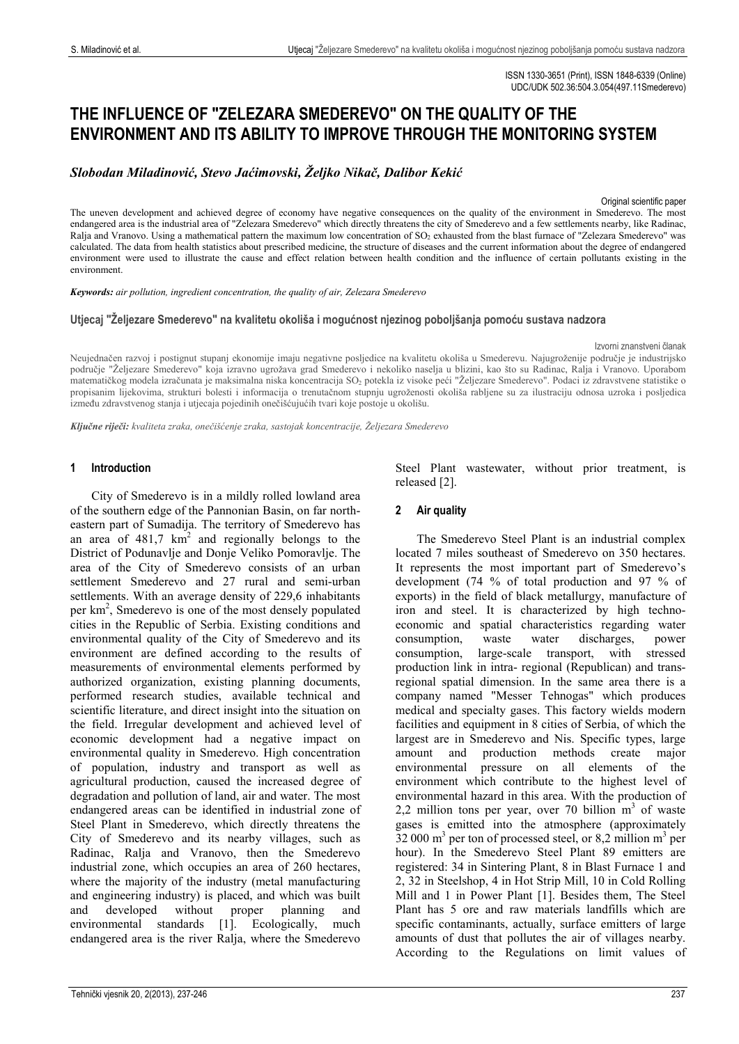ISSN 1330-3651 (Print), ISSN 1848-6339 (Online) UDC/UDK 502.36:504.3.054(497.11Smederevo)

# **THE INFLUENCE OF "ZELEZARA SMEDEREVO" ON THE QUALITY OF THE ENVIRONMENT AND ITS ABILITY TO IMPROVE THROUGH THE MONITORING SYSTEM**

*Slobodan Miladinović, Stevo Jaćimovski, Željko Nikač, Dalibor Kekić*

Original scientific paper

The uneven development and achieved degree of economy have negative consequences on the quality of the environment in Smederevo. The most endangered area is the industrial area of "Zelezara Smederevo" which directly threatens the city of Smederevo and a few settlements nearby, like Radinac, Ralja and Vranovo. Using a mathematical pattern the maximum low concentration of SO<sub>2</sub> exhausted from the blast furnace of "Zelezara Smederevo" was calculated. The data from health statistics about prescribed medicine, the structure of diseases and the current information about the degree of endangered environment were used to illustrate the cause and effect relation between health condition and the influence of certain pollutants existing in the environment.

*Keywords: air pollution, ingredient concentration, the quality of air, Zelezara Smederevo*

**Utjecaj "Željezare Smederevo" na kvalitetu okoliša i mogućnost njezinog poboljšanja pomoću sustava nadzora**

Izvorni znanstveni članak

Neujednačen razvoj i postignut stupanj ekonomije imaju negativne posljedice na kvalitetu okoliša u Smederevu. Najugroženije područje je industrijsko područje "Željezare Smederevo" koja izravno ugrožava grad Smederevo i nekoliko naselja u blizini, kao što su Radinac, Ralja i Vranovo. Uporabom matematičkog modela izračunata je maksimalna niska koncentracija SO<sub>2</sub> potekla iz visoke peći "Željezare Smederevo". Podaci iz zdravstvene statistike o propisanim lijekovima, strukturi bolesti i informacija o trenutačnom stupnju ugroženosti okoliša rabljene su za ilustraciju odnosa uzroka i posljedica između zdravstvenog stanja i utjecaja pojedinih onečišćujućih tvari koje postoje u okolišu.

*Ključne riječi: kvaliteta zraka, onečišćenje zraka, sastojak koncentracije, Željezara Smederevo*

## **1 Introduction**

City of Smederevo is in a mildly rolled lowland area of the southern edge of the Pannonian Basin, on far northeastern part of Sumadija. The territory of Smederevo has an area of  $481.7 \text{ km}^2$  and regionally belongs to the District of Podunavlje and Donje Veliko Pomoravlje. The area of the City of Smederevo consists of an urban settlement Smederevo and 27 rural and semi-urban settlements. With an average density of 229,6 inhabitants per km<sup>2</sup>, Smederevo is one of the most densely populated cities in the Republic of Serbia. Existing conditions and environmental quality of the City of Smederevo and its environment are defined according to the results of measurements of environmental elements performed by authorized organization, existing planning documents, performed research studies, available technical and scientific literature, and direct insight into the situation on the field. Irregular development and achieved level of economic development had a negative impact on environmental quality in Smederevo. High concentration of population, industry and transport as well as agricultural production, caused the increased degree of degradation and pollution of land, air and water. The most endangered areas can be identified in industrial zone of Steel Plant in Smederevo, which directly threatens the City of Smederevo and its nearby villages, such as Radinac, Ralja and Vranovo, then the Smederevo industrial zone, which occupies an area of 260 hectares, where the majority of the industry (metal manufacturing and engineering industry) is placed, and which was built and developed without proper planning and environmental standards [1]. Ecologically, much endangered area is the river Ralja, where the Smederevo

Steel Plant wastewater, without prior treatment, is released [2].

# **2 Air quality**

The Smederevo Steel Plant is an industrial complex located 7 miles southeast of Smederevo on 350 hectares. It represents the most important part of Smederevo's development (74 % of total production and 97 % of exports) in the field of black metallurgy, manufacture of iron and steel. It is characterized by high technoeconomic and spatial characteristics regarding water consumption, waste water discharges, power consumption, large-scale transport, with stressed production link in intra- regional (Republican) and transregional spatial dimension. In the same area there is a company named "Messer Tehnogas" which produces medical and specialty gases. This factory wields modern facilities and equipment in 8 cities of Serbia, of which the largest are in Smederevo and Nis. Specific types, large amount and production methods environmental pressure on all elements of the environment which contribute to the highest level of environmental hazard in this area. With the production of 2,2 million tons per year, over 70 billion  $m<sup>3</sup>$  of waste gases is emitted into the atmosphere (approximately  $32,000 \text{ m}^3$  per ton of processed steel, or 8,2 million m<sup>3</sup> per hour). In the Smederevo Steel Plant 89 emitters are registered: 34 in Sintering Plant, 8 in Blast Furnace 1 and 2, 32 in Steelshop, 4 in Hot Strip Mill, 10 in Cold Rolling Mill and 1 in Power Plant [1]. Besides them, The Steel Plant has 5 ore and raw materials landfills which are specific contaminants, actually, surface emitters of large amounts of dust that pollutes the air of villages nearby. According to the Regulations on limit values of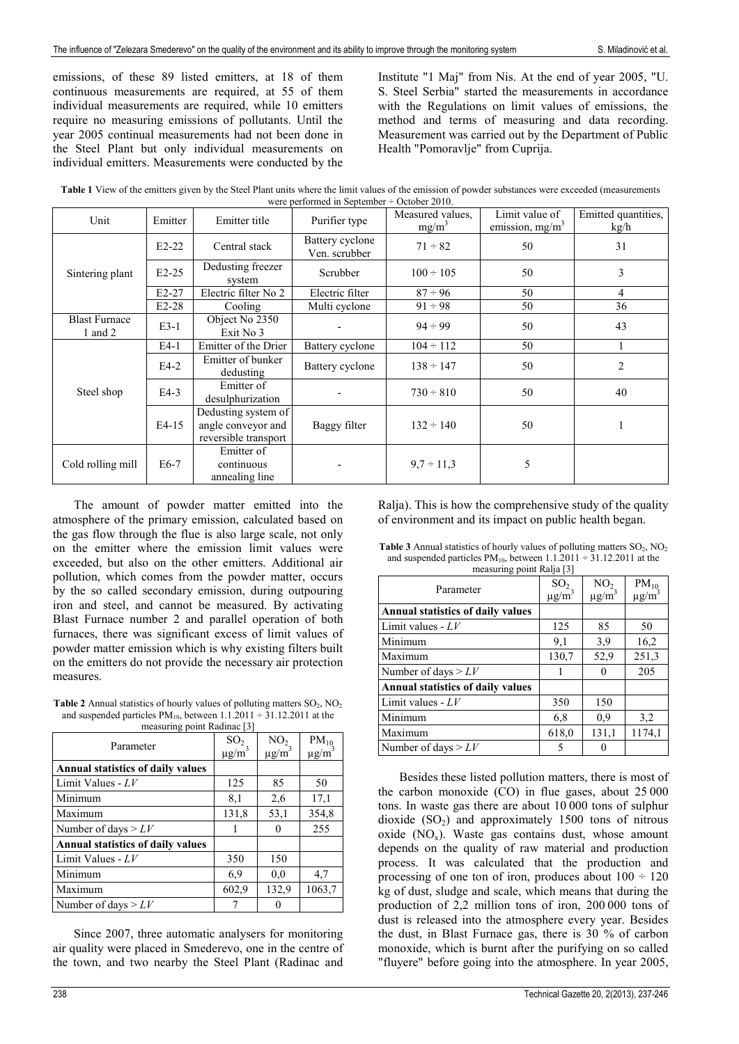emissions, of these 89 listed emitters, at 18 of them continuous measurements are required, at 55 of them individual measurements are required, while 10 emitters require no measuring emissions of pollutants. Until the year 2005 continual measurements had not been done in the Steel Plant but only individual measurements on individual emitters. Measurements were conducted by the

Institute "1 Maj" from Nis. At the end of year 2005, "U. S. Steel Serbia" started the measurements in accordance with the Regulations on limit values of emissions, the method and terms of measuring and data recording. Measurement was carried out by the Department of Public Health "Pomoravlje" from Cuprija.

| were performed in September $\div$ October 2010. | Table 1 View of the emitters given by the Steel Plant units where the limit values of the emission of powder substances were exceeded (measurements |  |  |  |  |  |  |  |  |  |  |
|--------------------------------------------------|-----------------------------------------------------------------------------------------------------------------------------------------------------|--|--|--|--|--|--|--|--|--|--|
|                                                  |                                                                                                                                                     |  |  |  |  |  |  |  |  |  |  |

| Unit                              | Emitter | Emitter title                                                     | Purifier type                    | Measured values.<br>$mg/m^3$ | Limit value of<br>emission, $mg/m3$ | Emitted quantities,<br>kg/h |
|-----------------------------------|---------|-------------------------------------------------------------------|----------------------------------|------------------------------|-------------------------------------|-----------------------------|
|                                   | $E2-22$ | Central stack                                                     | Battery cyclone<br>Ven. scrubber | $71 \div 82$                 | 50                                  | 31                          |
| Sintering plant                   | $E2-25$ | Dedusting freezer<br>system                                       | Scrubber                         | $100 \div 105$               | 50                                  | 3                           |
|                                   | $E2-27$ | Electric filter No 2                                              | Electric filter                  | $87 \div 96$                 | 50                                  | 4                           |
|                                   | $E2-28$ | Cooling                                                           | Multi cyclone                    | $91 \div 98$                 | 50                                  | 36                          |
| <b>Blast Furnace</b><br>1 and $2$ | $E3-1$  | Object No 2350<br>Exit No 3                                       |                                  | $94 \div 99$                 | 50                                  | 43                          |
|                                   | $E4-1$  | Emitter of the Drier                                              | Battery cyclone                  | $104 \div 112$               | 50                                  |                             |
|                                   | $E4-2$  | Emitter of bunker<br>dedusting                                    | Battery cyclone                  | $138 \div 147$               | 50                                  | $\overline{c}$              |
| Steel shop                        | $E4-3$  | Emitter of<br>desulphurization                                    |                                  | $730 \div 810$               | 50                                  | 40                          |
|                                   | $E4-15$ | Dedusting system of<br>angle conveyor and<br>reversible transport | Baggy filter                     | $132 \div 140$               | 50                                  |                             |
| Cold rolling mill                 | $E6-7$  | Emitter of<br>continuous<br>annealing line                        |                                  | $9,7 \div 11,3$              | 5                                   |                             |

The amount of powder matter emitted into the atmosphere of the primary emission, calculated based on the gas flow through the flue is also large scale, not only on the emitter where the emission limit values were exceeded, but also on the other emitters. Additional air pollution, which comes from the powder matter, occurs by the so called secondary emission, during outpouring iron and steel, and cannot be measured. By activating Blast Furnace number 2 and parallel operation of both furnaces, there was significant excess of limit values of powder matter emission which is why existing filters built on the emitters do not provide the necessary air protection measures.

**Table 2** Annual statistics of hourly values of polluting matters  $SO_2$ ,  $NO_2$ and suspended particles  $PM_{10}$ , between  $1.1.2011 \div 31.12.2011$  at the measuring point Radinac [3]

| $\mu$ casuring politic Naumac $\sigma$   |                        |                 |                        |  |
|------------------------------------------|------------------------|-----------------|------------------------|--|
| Parameter                                | SO <sub>2</sub>        | NO <sub>2</sub> | $PM_{10}$              |  |
|                                          | $\mu$ g/m <sup>3</sup> | $\mu g/m^3$     | $\mu$ g/m <sup>3</sup> |  |
| <b>Annual statistics of daily values</b> |                        |                 |                        |  |
| Limit Values - $LV$                      | 125                    | 85              | 50                     |  |
| Minimum                                  | 8,1                    | 2,6             | 17,1                   |  |
| Maximum                                  | 131,8                  | 53,1            | 354,8                  |  |
| Number of days $> LV$                    |                        | 0               | 255                    |  |
| <b>Annual statistics of daily values</b> |                        |                 |                        |  |
| Limit Values - $LV$                      | 350                    | 150             |                        |  |
| Minimum                                  | 6.9                    | 0.0             | 4,7                    |  |
| Maximum                                  | 602,9                  | 132,9           | 1063,7                 |  |
| Number of days $> LV$                    |                        | 0               |                        |  |

Since 2007, three automatic analysers for monitoring air quality were placed in Smederevo, one in the centre of the town, and two nearby the Steel Plant (Radinac and

Ralja). This is how the comprehensive study of the quality of environment and its impact on public health began.

**Table 3** Annual statistics of hourly values of polluting matters  $SO_2$ ,  $NO_2$ and suspended particles  $PM_{10}$ , between  $1.1.2011 \div 31.12.2011$  at the measuring point Ralia [3]

| $\frac{1}{2}$<br>Parameter        | SO <sub>2</sub><br>$\mu$ g/m <sup>3</sup> | NO <sub>2</sub><br>$\mu$ g/m <sup>3</sup> | $PM_{10}$ $\mu$ g/m <sup>3</sup> |
|-----------------------------------|-------------------------------------------|-------------------------------------------|----------------------------------|
| Annual statistics of daily values |                                           |                                           |                                  |
| Limit values - $LV$               | 125                                       | 85                                        | 50                               |
| Minimum                           | 9,1                                       | 3,9                                       | 16,2                             |
| Maximum                           | 130,7                                     | 52,9                                      | 251,3                            |
| Number of days $> LV$             | 1                                         | 0                                         | 205                              |
| Annual statistics of daily values |                                           |                                           |                                  |
| Limit values - $LV$               | 350                                       | 150                                       |                                  |
| Minimum                           | 6,8                                       | 0.9                                       | 3,2                              |
| Maximum                           | 618,0                                     | 131,1                                     | 1174,1                           |
| Number of days $> LV$             | 5                                         |                                           |                                  |

Besides these listed pollution matters, there is most of the carbon monoxide (CO) in flue gases, about 25 000 tons. In waste gas there are about 10.000 tons of sulphur dioxide  $(SO<sub>2</sub>)$  and approximately 1500 tons of nitrous oxide  $(NO<sub>x</sub>)$ . Waste gas contains dust, whose amount depends on the quality of raw material and production process. It was calculated that the production and processing of one ton of iron, produces about  $100 \div 120$ kg of dust, sludge and scale, which means that during the production of 2,2 million tons of iron, 200.000 tons of dust is released into the atmosphere every year. Besides the dust, in Blast Furnace gas, there is 30 % of carbon monoxide, which is burnt after the purifying on so called "fluyere" before going into the atmosphere. In year 2005,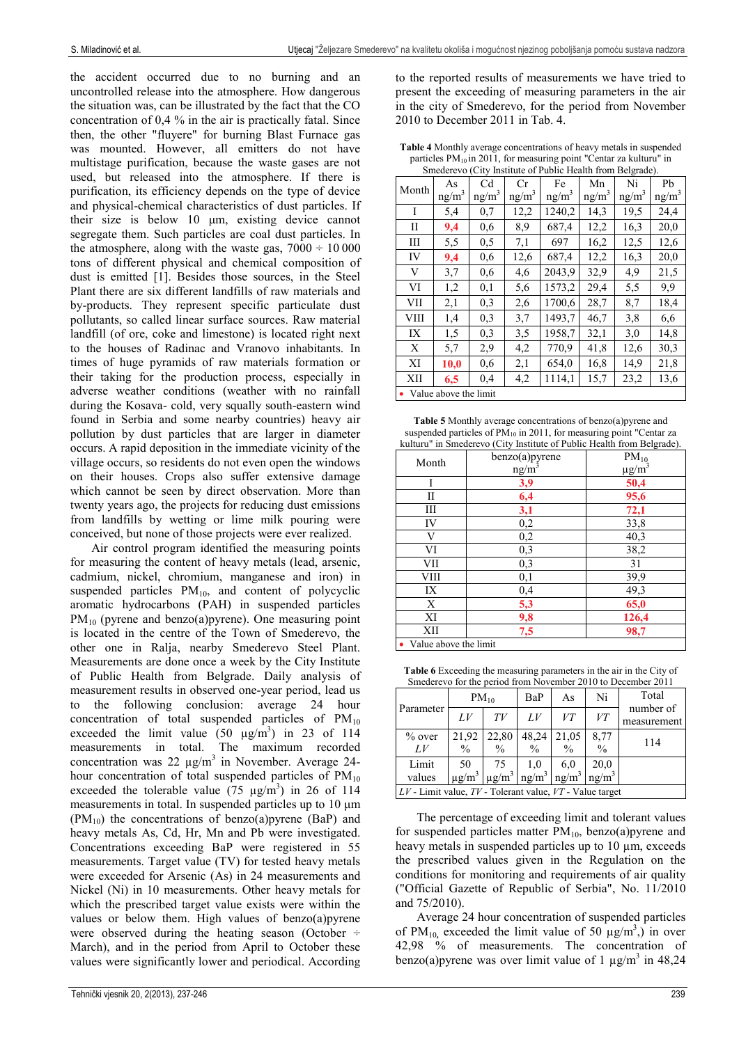the accident occurred due to no burning and an uncontrolled release into the atmosphere. How dangerous the situation was, can be illustrated by the fact that the CO concentration of 0,4 % in the air is practically fatal. Since then, the other "fluyere" for burning Blast Furnace gas was mounted. However, all emitters do not have multistage purification, because the waste gases are not used, but released into the atmosphere. If there is purification, its efficiency depends on the type of device and physical-chemical characteristics of dust particles. If their size is below 10 μm, existing device cannot segregate them. Such particles are coal dust particles. In the atmosphere, along with the waste gas,  $7000 \div 10000$ tons of different physical and chemical composition of dust is emitted [1]. Besides those sources, in the Steel Plant there are six different landfills of raw materials and by-products. They represent specific particulate dust pollutants, so called linear surface sources. Raw material landfill (of ore, coke and limestone) is located right next to the houses of Radinac and Vranovo inhabitants. In times of huge pyramids of raw materials formation or their taking for the production process, especially in adverse weather conditions (weather with no rainfall during the Kosava- cold, very squally south-eastern wind found in Serbia and some nearby countries) heavy air pollution by dust particles that are larger in diameter occurs. A rapid deposition in the immediate vicinity of the village occurs, so residents do not even open the windows on their houses. Crops also suffer extensive damage which cannot be seen by direct observation. More than twenty years ago, the projects for reducing dust emissions from landfills by wetting or lime milk pouring were conceived, but none of those projects were ever realized.

Air control program identified the measuring points for measuring the content of heavy metals (lead, arsenic, cadmium, nickel, chromium, manganese and iron) in suspended particles  $PM_{10}$ , and content of polycyclic aromatic hydrocarbons (PAH) in suspended particles  $PM_{10}$  (pyrene and benzo(a)pyrene). One measuring point is located in the centre of the Town of Smederevo, the other one in Ralja, nearby Smederevo Steel Plant. Measurements are done once a week by the City Institute of Public Health from Belgrade. Daily analysis of measurement results in observed one-year period, lead us to the following conclusion: average 24 hour concentration of total suspended particles of  $PM_{10}$ exceeded the limit value  $(50 \text{ }\mu\text{g/m}^3)$  in 23 of 114 measurements in total. The maximum recorded concentration was 22  $\mu$ g/m<sup>3</sup> in November. Average 24hour concentration of total suspended particles of  $PM_{10}$ exceeded the tolerable value (75  $\mu$ g/m<sup>3</sup>) in 26 of 114 measurements in total. In suspended particles up to 10 μm  $(PM_{10})$  the concentrations of benzo(a)pyrene (BaP) and heavy metals As, Cd, Hr, Mn and Pb were investigated. Concentrations exceeding BaP were registered in 55 measurements. Target value (TV) for tested heavy metals were exceeded for Arsenic (As) in 24 measurements and Nickel (Ni) in 10 measurements. Other heavy metals for which the prescribed target value exists were within the values or below them. High values of benzo(a)pyrene were observed during the heating season (October ÷ March), and in the period from April to October these values were significantly lower and periodical. According

to the reported results of measurements we have tried to present the exceeding of measuring parameters in the air in the city of Smederevo, for the period from November 2010 to December 2011 in Tab. 4.

**Table 4** Monthly average concentrations of heavy metals in suspended particles PM<sub>10</sub> in 2011, for measuring point "Centar za kulturu" in Smederevo (City Institute of Public Health from Belgrade).

| omederevo (City modiume of I done freature home Defigure). |                   |                         |                   |                   |                   |                   |                   |  |  |  |  |  |
|------------------------------------------------------------|-------------------|-------------------------|-------------------|-------------------|-------------------|-------------------|-------------------|--|--|--|--|--|
| Month                                                      | As                | C <sub>d</sub>          | Cr                | Fe                | Mn                | Ni                | Pb                |  |  |  |  |  |
|                                                            | ng/m <sup>3</sup> | ng/m <sup>3</sup>       | ng/m <sup>3</sup> | ng/m <sup>3</sup> | ng/m <sup>3</sup> | ng/m <sup>3</sup> | ng/m <sup>3</sup> |  |  |  |  |  |
| I                                                          | 5,4               | 0,7                     | 12,2              | 1240,2            | 14,3              | 19,5              | 24,4              |  |  |  |  |  |
| П                                                          | 9,4               | 0.6                     | 8.9               | 687,4             | 12,2              | 16,3              | 20,0              |  |  |  |  |  |
| Ш                                                          | 5,5               | 0,5                     | 7,1               | 697               | 16,2              | 12,5              | 12,6              |  |  |  |  |  |
| IV                                                         | 9,4               | 0.6                     | 12,6              | 687.4             | 12,2              | 16,3              | 20,0              |  |  |  |  |  |
| V                                                          | 3,7               | 0,6                     | 4,6               | 2043,9            | 32,9              | 4,9               | 21,5              |  |  |  |  |  |
| VI                                                         | 1,2               | 0.1                     | 5.6               | 1573,2            | 29,4              | 5,5               | 9,9               |  |  |  |  |  |
| VII                                                        | 2,1               | 0.3                     | 2,6               | 1700,6            | 28,7              | 8.7               | 18,4              |  |  |  |  |  |
| VIII                                                       | 1.4               | 0.3                     | 3,7               | 1493,7            | 46,7              | 3.8               | 6,6               |  |  |  |  |  |
| IX                                                         | 1,5               | 0.3                     | 3,5               | 1958,7            | 32,1              | 3,0               | 14,8              |  |  |  |  |  |
| X                                                          | 5,7               | 2.9                     | 4,2               | 770,9             | 41,8              | 12,6              | 30,3              |  |  |  |  |  |
| XI                                                         | 10,0              | 0.6                     | 2,1               | 654,0             | 16,8              | 14,9              | 21,8              |  |  |  |  |  |
| XII                                                        | 6,5               | 0.4                     | 4,2               | 1114,1            | 15,7              | 23,2              | 13,6              |  |  |  |  |  |
|                                                            |                   | • Value above the limit |                   |                   |                   |                   |                   |  |  |  |  |  |

| <b>Table 5</b> Monthly average concentrations of benzo(a) pyrene and     |
|--------------------------------------------------------------------------|
| suspended particles of $PM_{10}$ in 2011, for measuring point "Centar za |
| kulturu" in Smederevo (City Institute of Public Health from Belgrade).   |

|                      | benzo(a)pyrene    | .<br>$PM_{10}$         |  |  |
|----------------------|-------------------|------------------------|--|--|
| Month                | ng/m <sup>3</sup> | $\mu$ g/m <sup>3</sup> |  |  |
| Ī                    | 3,9               | 50,4                   |  |  |
| П                    | 6,4               | 95,6                   |  |  |
| Ш                    | 3,1               | 72,1                   |  |  |
| IV                   | 0,2               | 33,8                   |  |  |
| V                    | 0,2               | 40,3                   |  |  |
| VI                   | 0,3               | 38,2                   |  |  |
| VII                  | 0,3               | 31                     |  |  |
| VIII                 | 0,1               | 39,9                   |  |  |
| IX                   | 0,4               | $\overline{49,3}$      |  |  |
| X                    | 5,3               | 65,0                   |  |  |
| XI                   | 9,8               | 126,4                  |  |  |
| XII                  | 7,5               | 98,7                   |  |  |
| Uglua show the limit |                   |                        |  |  |

Value above the limit

**Table 6** Exceeding the measuring parameters in the air in the City of medereve for the period from November 2010 to De

| Parameter                                                      |                        | $PM_{10}$                                                                                                         | BaP                    | As                     | Ni                    | Total                    |  |  |  |  |  |  |  |
|----------------------------------------------------------------|------------------------|-------------------------------------------------------------------------------------------------------------------|------------------------|------------------------|-----------------------|--------------------------|--|--|--|--|--|--|--|
|                                                                | L V                    | TV                                                                                                                | L V                    | VT                     | VT                    | number of<br>measurement |  |  |  |  |  |  |  |
| $%$ over<br>LV                                                 | 21,92<br>$\frac{0}{0}$ | 22,80<br>$\frac{0}{0}$                                                                                            | 48,24<br>$\frac{0}{0}$ | 21,05<br>$\frac{0}{0}$ | 8,77<br>$\frac{0}{0}$ | 114                      |  |  |  |  |  |  |  |
| Limit<br>values                                                | 50                     | 75<br>$\mu$ g/m <sup>3</sup>   $\mu$ g/m <sup>3</sup>   ng/m <sup>3</sup>   ng/m <sup>3</sup>   ng/m <sup>3</sup> | 1,0                    | 6,0                    | 20,0                  |                          |  |  |  |  |  |  |  |
| $LV$ - Limit value, $TV$ - Tolerant value, $VT$ - Value target |                        |                                                                                                                   |                        |                        |                       |                          |  |  |  |  |  |  |  |

The percentage of exceeding limit and tolerant values for suspended particles matter  $PM_{10}$ , benzo(a)pyrene and heavy metals in suspended particles up to 10  $\mu$ m, exceeds the prescribed values given in the Regulation on the conditions for monitoring and requirements of air quality ("Official Gazette of Republic of Serbia", No. 11/2010 and 75/2010).

Average 24 hour concentration of suspended particles of PM<sub>10</sub>, exceeded the limit value of 50  $\mu$ g/m<sup>3</sup>,) in over 42,98 % of measurements. The concentration of benzo(a) pyrene was over limit value of 1  $\mu$ g/m<sup>3</sup> in 48,24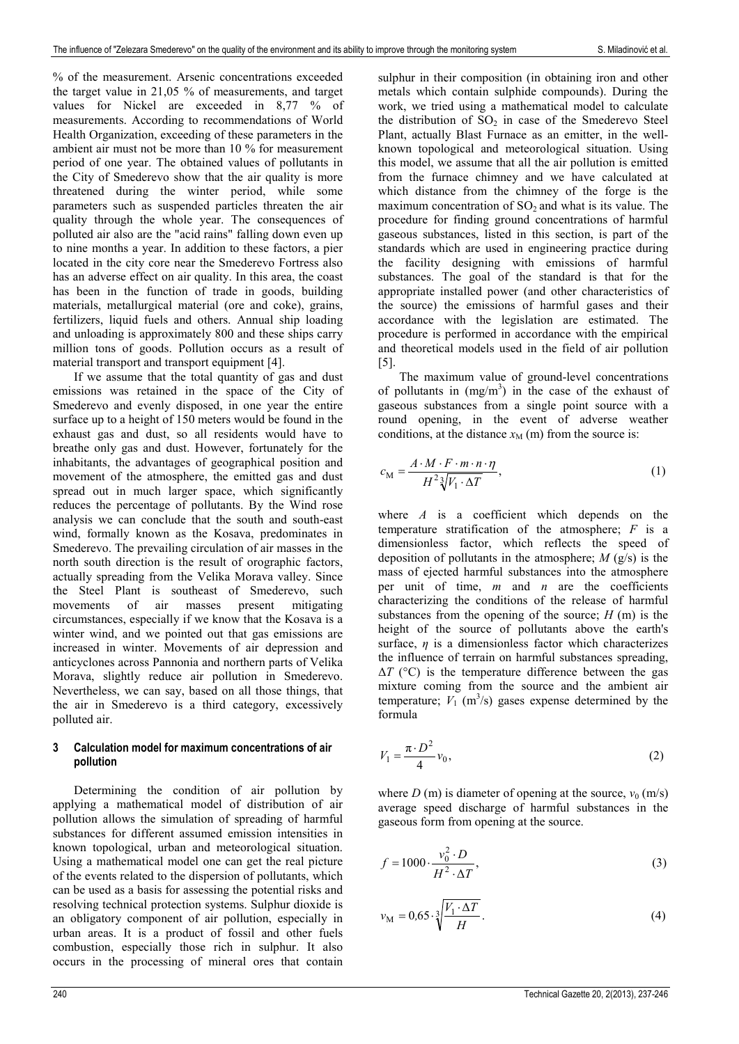% of the measurement. Arsenic concentrations exceeded the target value in 21,05 % of measurements, and target values for Nickel are exceeded in 8,77 % of measurements. According to recommendations of World Health Organization, exceeding of these parameters in the ambient air must not be more than 10 % for measurement period of one year. The obtained values of pollutants in the City of Smederevo show that the air quality is more threatened during the winter period, while some parameters such as suspended particles threaten the air quality through the whole year. The consequences of polluted air also are the "acid rains" falling down even up to nine months a year. In addition to these factors, a pier located in the city core near the Smederevo Fortress also has an adverse effect on air quality. In this area, the coast has been in the function of trade in goods, building materials, metallurgical material (ore and coke), grains, fertilizers, liquid fuels and others. Annual ship loading and unloading is approximately 800 and these ships carry million tons of goods. Pollution occurs as a result of material transport and transport equipment [4].

If we assume that the total quantity of gas and dust emissions was retained in the space of the City of Smederevo and evenly disposed, in one year the entire surface up to a height of 150 meters would be found in the exhaust gas and dust, so all residents would have to breathe only gas and dust. However, fortunately for the inhabitants, the advantages of geographical position and movement of the atmosphere, the emitted gas and dust spread out in much larger space, which significantly reduces the percentage of pollutants. By the Wind rose analysis we can conclude that the south and south-east wind, formally known as the Kosava, predominates in Smederevo. The prevailing circulation of air masses in the north south direction is the result of orographic factors, actually spreading from the Velika Morava valley. Since the Steel Plant is southeast of Smederevo, such movements of air masses present mitigating circumstances, especially if we know that the Kosava is a winter wind, and we pointed out that gas emissions are increased in winter. Movements of air depression and anticyclones across Pannonia and northern parts of Velika Morava, slightly reduce air pollution in Smederevo. Nevertheless, we can say, based on all those things, that the air in Smederevo is a third category, excessively polluted air.

## **3 Calculation model for maximum concentrations of air pollution**

Determining the condition of air pollution by applying a mathematical model of distribution of air pollution allows the simulation of spreading of harmful substances for different assumed emission intensities in known topological, urban and meteorological situation. Using a mathematical model one can get the real picture of the events related to the dispersion of pollutants, which can be used as a basis for assessing the potential risks and resolving technical protection systems. Sulphur dioxide is an obligatory component of air pollution, especially in urban areas. It is a product of fossil and other fuels combustion, especially those rich in sulphur. It also occurs in the processing of mineral ores that contain sulphur in their composition (in obtaining iron and other metals which contain sulphide compounds). During the work, we tried using a mathematical model to calculate the distribution of  $SO<sub>2</sub>$  in case of the Smederevo Steel Plant, actually Blast Furnace as an emitter, in the wellknown topological and meteorological situation. Using this model, we assume that all the air pollution is emitted from the furnace chimney and we have calculated at which distance from the chimney of the forge is the maximum concentration of  $SO<sub>2</sub>$  and what is its value. The procedure for finding ground concentrations of harmful gaseous substances, listed in this section, is part of the standards which are used in engineering practice during the facility designing with emissions of harmful substances. The goal of the standard is that for the appropriate installed power (and other characteristics of the source) the emissions of harmful gases and their accordance with the legislation are estimated. The procedure is performed in accordance with the empirical and theoretical models used in the field of air pollution [5].

The maximum value of ground-level concentrations of pollutants in  $(mg/m<sup>3</sup>)$  in the case of the exhaust of gaseous substances from a single point source with a round opening, in the event of adverse weather conditions, at the distance  $x_M$  (m) from the source is:

$$
c_{\mathbf{M}} = \frac{A \cdot M \cdot F \cdot m \cdot n \cdot \eta}{H^2 \sqrt[3]{V_1 \cdot \Delta T}},\tag{1}
$$

where *A* is a coefficient which depends on the temperature stratification of the atmosphere; *F* is a dimensionless factor, which reflects the speed of deposition of pollutants in the atmosphere; *M* (g/s) is the mass of ejected harmful substances into the atmosphere per unit of time, *m* and *n* are the coefficients characterizing the conditions of the release of harmful substances from the opening of the source;  $H(m)$  is the height of the source of pollutants above the earth's surface,  $\eta$  is a dimensionless factor which characterizes the influence of terrain on harmful substances spreading,  $\Delta T$  ( $^{\circ}$ C) is the temperature difference between the gas mixture coming from the source and the ambient air temperature;  $V_1$  (m<sup>3</sup>/s) gases expense determined by the formula

$$
V_1 = \frac{\pi \cdot D^2}{4} v_0,\tag{2}
$$

where  $D$  (m) is diameter of opening at the source,  $v_0$  (m/s) average speed discharge of harmful substances in the gaseous form from opening at the source.

$$
f = 1000 \cdot \frac{v_0^2 \cdot D}{H^2 \cdot \Delta T},\tag{3}
$$

$$
v_{\rm M} = 0.65 \cdot \sqrt[3]{\frac{V_1 \cdot \Delta T}{H}}.
$$
\n(4)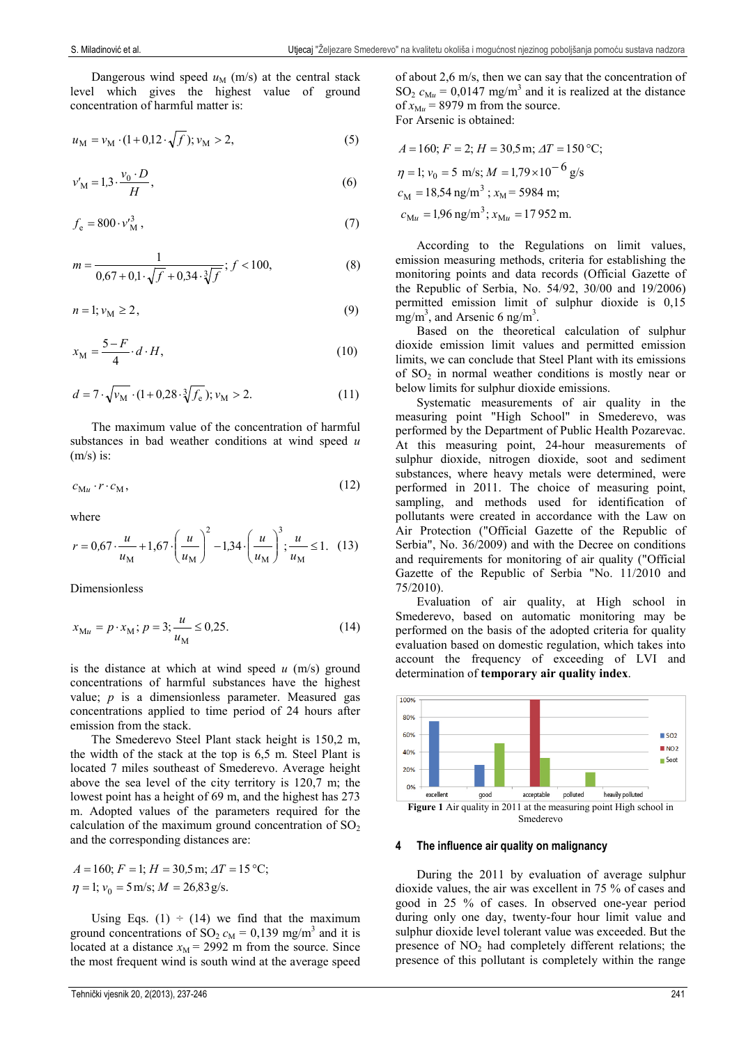Dangerous wind speed  $u_M$  (m/s) at the central stack level which gives the highest value of ground concentration of harmful matter is:

$$
u_{\rm M} = v_{\rm M} \cdot (1 + 0.12 \cdot \sqrt{f}); v_{\rm M} > 2, \tag{5}
$$

$$
v_M' = 1.3 \cdot \frac{v_0 \cdot D}{H},\tag{6}
$$

$$
f_{\rm e} = 800 \cdot v_{\rm M}^3 \,,\tag{7}
$$

$$
m = \frac{1}{0.67 + 0.1 \cdot \sqrt{f} + 0.34 \cdot \sqrt[3]{f}}; f < 100,\tag{8}
$$

$$
n=1; v_M \ge 2, \tag{9}
$$

$$
x_{\rm M} = \frac{5 - F}{4} \cdot d \cdot H,\tag{10}
$$

$$
d = 7 \cdot \sqrt{\mathbf{v}_{\mathbf{M}}} \cdot (1 + 0.28 \cdot \sqrt[3]{f_{\mathbf{e}}}) ; \mathbf{v}_{\mathbf{M}} > 2.
$$
 (11)

The maximum value of the concentration of harmful substances in bad weather conditions at wind speed *u*   $(m/s)$  is:

$$
c_{\mathbf{M}u} \cdot r \cdot c_{\mathbf{M}},\tag{12}
$$

where

$$
r = 0.67 \cdot \frac{u}{u_{\rm M}} + 1.67 \cdot \left(\frac{u}{u_{\rm M}}\right)^2 - 1.34 \cdot \left(\frac{u}{u_{\rm M}}\right)^3; \frac{u}{u_{\rm M}} \le 1. \tag{13}
$$

Dimensionless

$$
x_{\text{M}u} = p \cdot x_{\text{M}}; p = 3; \frac{u}{u_{\text{M}}} \le 0.25. \tag{14}
$$

is the distance at which at wind speed *u* (m/s) ground concentrations of harmful substances have the highest value; *p* is a dimensionless parameter. Measured gas concentrations applied to time period of 24 hours after emission from the stack.

The Smederevo Steel Plant stack height is 150,2 m, the width of the stack at the top is 6,5 m. Steel Plant is located 7 miles southeast of Smederevo. Average height above the sea level of the city territory is 120,7 m; the lowest point has a height of 69 m, and the highest has 273 m. Adopted values of the parameters required for the calculation of the maximum ground concentration of  $SO<sub>2</sub>$ and the corresponding distances are:

$$
A = 160; F = 1; H = 30, 5 \text{ m}; \Delta T = 15 \text{ °C};
$$
  

$$
\eta = 1; v_0 = 5 \text{ m/s}; M = 26,83 \text{ g/s}.
$$

Using Eqs. (1)  $\div$  (14) we find that the maximum ground concentrations of SO<sub>2</sub>  $c_M = 0.139$  mg/m<sup>3</sup> and it is located at a distance  $x_M$  = 2992 m from the source. Since the most frequent wind is south wind at the average speed

Tehnički vjesnik 20, 2(2013), 237-246 241

of about 2,6 m/s, then we can say that the concentration of  $SO_2$   $c_{\text{M}u} = 0.0147$  mg/m<sup>3</sup> and it is realized at the distance of  $x_{\text{M}u}$  = 8979 m from the source. For Arsenic is obtained:

$$
A = 160; F = 2; H = 30,5 \text{ m}; \Delta T = 150 \text{ °C};
$$
  
\n
$$
\eta = 1; v_0 = 5 \text{ m/s}; M = 1.79 \times 10^{-6} \text{ g/s}
$$
  
\n
$$
c_M = 18,54 \text{ ng/m}^3; x_M = 5984 \text{ m};
$$
  
\n
$$
c_{Mu} = 1.96 \text{ ng/m}^3; x_{Mu} = 17952 \text{ m}.
$$

According to the Regulations on limit values, emission measuring methods, criteria for establishing the monitoring points and data records (Official Gazette of the Republic of Serbia, No. 54/92, 30/00 and 19/2006) permitted emission limit of sulphur dioxide is 0,15 mg/m<sup>3</sup>, and Arsenic 6 ng/m<sup>3</sup>.

Based on the theoretical calculation of sulphur dioxide emission limit values and permitted emission limits, we can conclude that Steel Plant with its emissions of  $SO_2$  in normal weather conditions is mostly near or below limits for sulphur dioxide emissions.

Systematic measurements of air quality in the measuring point "High School" in Smederevo, was performed by the Department of Public Health Pozarevac. At this measuring point, 24-hour measurements of sulphur dioxide, nitrogen dioxide, soot and sediment substances, where heavy metals were determined, were performed in 2011. The choice of measuring point, sampling, and methods used for identification of pollutants were created in accordance with the Law on Air Protection ("Official Gazette of the Republic of Serbia", No. 36/2009) and with the Decree on conditions and requirements for monitoring of air quality ("Official Gazette of the Republic of Serbia "No. 11/2010 and 75/2010).

Evaluation of air quality, at High school in Smederevo, based on automatic monitoring may be performed on the basis of the adopted criteria for quality evaluation based on domestic regulation, which takes into account the frequency of exceeding of LVI and determination of **temporary air quality index**.



#### **4 The influence air quality on malignancy**

During the 2011 by evaluation of average sulphur dioxide values, the air was excellent in 75 % of cases and good in 25 % of cases. In observed one-year period during only one day, twenty-four hour limit value and sulphur dioxide level tolerant value was exceeded. But the presence of  $NO<sub>2</sub>$  had completely different relations; the presence of this pollutant is completely within the range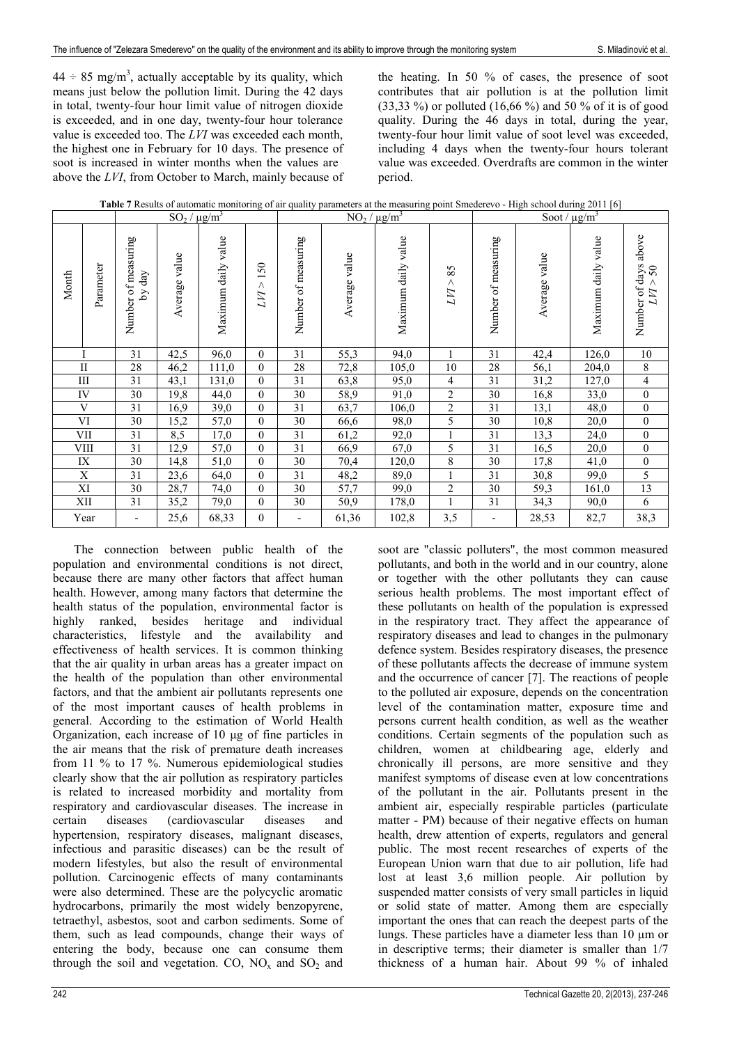$44 \div 85$  mg/m<sup>3</sup>, actually acceptable by its quality, which means just below the pollution limit. During the 42 days in total, twenty-four hour limit value of nitrogen dioxide is exceeded, and in one day, twenty-four hour tolerance value is exceeded too. The *LVI* was exceeded each month, the highest one in February for 10 days. The presence of soot is increased in winter months when the values are above the *LVI*, from October to March, mainly because of

the heating. In 50 % of cases, the presence of soot contributes that air pollution is at the pollution limit (33,33 %) or polluted (16,66 %) and 50 % of it is of good quality. During the 46 days in total, during the year, twenty-four hour limit value of soot level was exceeded, including 4 days when the twenty-four hours tolerant value was exceeded. Overdrafts are common in the winter period.

|  | Table 7 Results of automatic monitoring of air quality parameters at the measuring point Smederevo - High school during 2011 [6] |  |
|--|----------------------------------------------------------------------------------------------------------------------------------|--|
|  |                                                                                                                                  |  |

|       |                |                               | $SO_2 / \mu g/m^3$ |                        |                  |                     | $NO_2 / \mu g/m^3$ |                     |                | Soot / $\mu$ g/m <sup>3</sup> |               |                     |                                                     |
|-------|----------------|-------------------------------|--------------------|------------------------|------------------|---------------------|--------------------|---------------------|----------------|-------------------------------|---------------|---------------------|-----------------------------------------------------|
| Month | Parameter      | Number of measuring<br>by day | Average value      | value<br>Maximum daily | 150<br>Λ<br>LИ   | Number of measuring | Average value      | Maximum daily value | 85<br>Λ<br>LИ  | Number of measuring           | Average value | Maximum daily value | above<br>Number of days<br>$50\,$<br>$\land$<br>LVI |
|       |                | 31                            | 42,5               | 96,0                   | $\mathbf{0}$     | 31                  | 55,3               | 94,0                |                | 31                            | 42,4          | 126,0               | 10                                                  |
|       | $\mathbf{I}$   | 28                            | 46,2               | 111,0                  | $\mathbf{0}$     | 28                  | 72,8               | 105,0               | 10             | 28                            | 56,1          | 204,0               | 8                                                   |
|       | $\rm III$      | 31                            | 43,1               | 131,0                  | $\mathbf{0}$     | 31                  | 63,8               | 95,0                | 4              | 31                            | 31,2          | 127,0               | 4                                                   |
|       | IV             | 30                            | 19,8               | 44,0                   | $\boldsymbol{0}$ | 30                  | 58,9               | 91,0                | $\overline{c}$ | 30                            | 16,8          | 33,0                | $\boldsymbol{0}$                                    |
|       | V              | 31                            | 16,9               | 39,0                   | $\mathbf{0}$     | 31                  | 63,7               | 106,0               | $\overline{c}$ | 31                            | 13,1          | 48,0                | $\boldsymbol{0}$                                    |
|       | VI             | 30                            | 15,2               | 57,0                   | $\theta$         | 30                  | 66,6               | 98,0                | 5              | 30                            | 10,8          | 20,0                | $\boldsymbol{0}$                                    |
|       | VII            | 31                            | 8,5                | 17,0                   | $\theta$         | 31                  | 61,2               | 92,0                | $\mathbf{1}$   | 31                            | 13,3          | 24,0                | $\boldsymbol{0}$                                    |
|       | VIII           | 31                            | 12,9               | 57,0                   | $\mathbf{0}$     | 31                  | 66,9               | 67,0                | 5              | 31                            | 16,5          | 20,0                | $\boldsymbol{0}$                                    |
|       | IX             | 30                            | 14,8               | 51,0                   | $\mathbf{0}$     | 30                  | 70,4               | 120,0               | $\overline{8}$ | $\overline{30}$               | 17,8          | 41,0                | $\boldsymbol{0}$                                    |
|       | $\overline{X}$ | 31                            | 23,6               | 64,0                   | $\mathbf{0}$     | 31                  | 48,2               | 89,0                | $\mathbf{1}$   | 31                            | 30,8          | 99,0                | 5                                                   |
|       | XI             | 30                            | 28,7               | 74,0                   | $\mathbf{0}$     | $\overline{30}$     | 57,7               | 99,0                | 2              | $\overline{30}$               | 59,3          | 161,0               | $\overline{13}$                                     |
|       | XII            | 31                            | 35,2               | 79,0                   | $\mathbf{0}$     | 30                  | 50,9               | 178,0               | $\mathbf{1}$   | 31                            | 34,3          | 90,0                | 6                                                   |
|       | Year           | $\overline{\phantom{0}}$      | 25,6               | 68,33                  | $\mathbf{0}$     |                     | 61,36              | 102,8               | 3,5            | $\overline{\phantom{a}}$      | 28,53         | 82,7                | 38,3                                                |

The connection between public health of the population and environmental conditions is not direct, because there are many other factors that affect human health. However, among many factors that determine the health status of the population, environmental factor is highly ranked, besides heritage and individual characteristics, lifestyle and the availability and effectiveness of health services. It is common thinking that the air quality in urban areas has a greater impact on the health of the population than other environmental factors, and that the ambient air pollutants represents one of the most important causes of health problems in general. According to the estimation of World Health Organization, each increase of 10 μg of fine particles in the air means that the risk of premature death increases from 11 % to 17 %. Numerous epidemiological studies clearly show that the air pollution as respiratory particles is related to increased morbidity and mortality from respiratory and cardiovascular diseases. The increase in certain diseases (cardiovascular diseases and hypertension, respiratory diseases, malignant diseases, infectious and parasitic diseases) can be the result of modern lifestyles, but also the result of environmental pollution. Carcinogenic effects of many contaminants were also determined. These are the polycyclic aromatic hydrocarbons, primarily the most widely benzopyrene, tetraethyl, asbestos, soot and carbon sediments. Some of them, such as lead compounds, change their ways of entering the body, because one can consume them through the soil and vegetation. CO,  $NO<sub>x</sub>$  and  $SO<sub>2</sub>$  and

pollutants, and both in the world and in our country, alone or together with the other pollutants they can cause serious health problems. The most important effect of these pollutants on health of the population is expressed in the respiratory tract. They affect the appearance of respiratory diseases and lead to changes in the pulmonary defence system. Besides respiratory diseases, the presence of these pollutants affects the decrease of immune system and the occurrence of cancer [7]. The reactions of people to the polluted air exposure, depends on the concentration level of the contamination matter, exposure time and persons current health condition, as well as the weather conditions. Certain segments of the population such as children, women at childbearing age, elderly and chronically ill persons, are more sensitive and they manifest symptoms of disease even at low concentrations of the pollutant in the air. Pollutants present in the ambient air, especially respirable particles (particulate matter - PM) because of their negative effects on human health, drew attention of experts, regulators and general public. The most recent researches of experts of the European Union warn that due to air pollution, life had lost at least 3,6 million people. Air pollution by suspended matter consists of very small particles in liquid or solid state of matter. Among them are especially important the ones that can reach the deepest parts of the lungs. These particles have a diameter less than 10 μm or in descriptive terms; their diameter is smaller than 1/7 thickness of a human hair. About 99 % of inhaled

soot are "classic polluters", the most common measured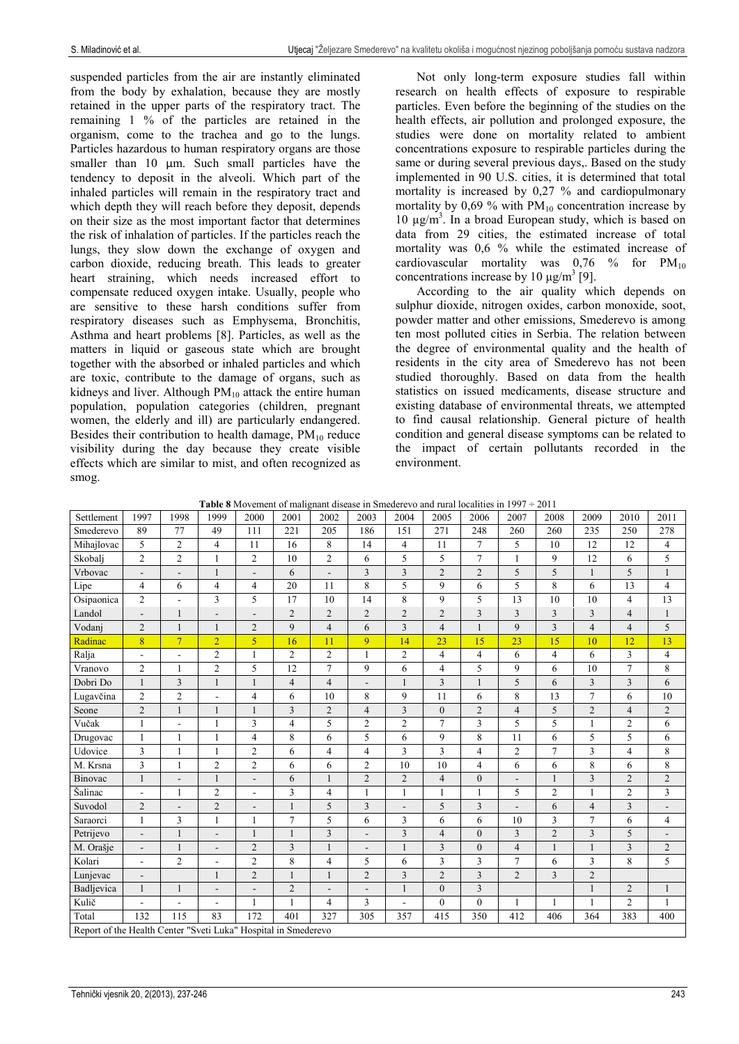suspended particles from the air are instantly eliminated from the body by exhalation, because they are mostly retained in the upper parts of the respiratory tract. The remaining 1 % of the particles are retained in the organism, come to the trachea and go to the lungs. Particles hazardous to human respiratory organs are those smaller than 10  $\mu$ m. Such small particles have the tendency to deposit in the alveoli. Which part of the inhaled particles will remain in the respiratory tract and which depth they will reach before they deposit, depends on their size as the most important factor that determines the risk of inhalation of particles. If the particles reach the lungs, they slow down the exchange of oxygen and carbon dioxide, reducing breath. This leads to greater heart straining, which needs increased effort to compensate reduced oxygen intake. Usually, people who are sensitive to these harsh conditions suffer from respiratory diseases such as Emphysema, Bronchitis, Asthma and heart problems [8]. Particles, as well as the matters in liquid or gaseous state which are brought together with the absorbed or inhaled particles and which are toxic, contribute to the damage of organs, such as kidneys and liver. Although  $PM_{10}$  attack the entire human population, population categories (children, pregnant women, the elderly and ill) are particularly endangered. Besides their contribution to health damage,  $PM_{10}$  reduce visibility during the day because they create visible effects which are similar to mist, and often recognized as smog.

Not only long-term exposure studies fall within research on health effects of exposure to respirable particles. Even before the beginning of the studies on the health effects, air pollution and prolonged exposure, the studies were done on mortality related to ambient concentrations exposure to respirable particles during the same or during several previous days,. Based on the study implemented in 90 U.S. cities, it is determined that total mortality is increased by 0,27 % and cardiopulmonary mortality by  $0.69$  % with  $PM_{10}$  concentration increase by 10  $\mu$ g/m<sup>3</sup>. In a broad European study, which is based on data from 29 cities, the estimated increase of total mortality was 0,6 % while the estimated increase of cardiovascular mortality was  $0.76\%$  for  $PM_{10}$ concentrations increase by 10  $\mu$ g/m<sup>3</sup> [9].

According to the air quality which depends on sulphur dioxide, nitrogen oxides, carbon monoxide, soot, powder matter and other emissions, Smederevo is among ten most polluted cities in Serbia. The relation between the degree of environmental quality and the health of residents in the city area of Smederevo has not been studied thoroughly. Based on data from the health statistics on issued medicaments, disease structure and existing database of environmental threats, we attempted to find causal relationship. General picture of health condition and general disease symptoms can be related to the impact of certain pollutants recorded in the environment.

**Table 8** Movement of malignant disease in Smederevo and rural localities in 1997 ÷ 2011

| Settlement                                                     | 1997                         | 1998           | 1999           | 2000                     | 2001           | 2002           | 2003                    | 2004                    | 2005           | 2006                    | 2007                     | 2008           | 2009                    | 2010                    | 2011                     |
|----------------------------------------------------------------|------------------------------|----------------|----------------|--------------------------|----------------|----------------|-------------------------|-------------------------|----------------|-------------------------|--------------------------|----------------|-------------------------|-------------------------|--------------------------|
| Smederevo                                                      | 89                           | 77             | 49             | 111                      | 221            | 205            | 186                     | 151                     | 271            | 248                     | 260                      | 260            | 235                     | 250                     | 278                      |
| Mihajlovac                                                     | 5                            | $\overline{2}$ | $\overline{4}$ | 11                       | 16             | 8              | 14                      | $\overline{4}$          | 11             | $\overline{7}$          | 5                        | 10             | 12                      | 12                      | $\overline{4}$           |
| Skobalj                                                        | $\overline{2}$               | $\overline{2}$ | 1              | $\overline{c}$           | 10             | $\overline{c}$ | 6                       | 5                       | 5              | $\overline{7}$          | 1                        | 9              | 12                      | 6                       | 5                        |
| Vrbovac                                                        | $\overline{\phantom{m}}$     | $\blacksquare$ | 1              | $\overline{\phantom{a}}$ | 6              | $\overline{a}$ | 3                       | 3                       | $\overline{2}$ | $\overline{2}$          | 5                        | 5              | $\mathbf{1}$            | 5                       | $\mathbf{1}$             |
| Lipe                                                           | $\overline{4}$               | 6              | 4              | $\overline{4}$           | 20             | 11             | $\overline{8}$          | 5                       | 9              | 6                       | 5                        | 8              | 6                       | 13                      | $\overline{4}$           |
| Osipaonica                                                     | $\overline{2}$               | $\overline{a}$ | 3              | 5                        | 17             | 10             | 14                      | $\,$ 8 $\,$             | 9              | 5                       | 13                       | 10             | 10                      | $\overline{4}$          | 13                       |
| Landol                                                         | $\overline{\phantom{a}}$     | 1              | ۰              | $\blacksquare$           | $\overline{2}$ | $\overline{2}$ | $\overline{2}$          | $\overline{2}$          | $\overline{2}$ | $\overline{3}$          | 3                        | 3              | 3                       | $\overline{4}$          | $\mathbf{1}$             |
| Vodanj                                                         | 2                            | $\mathbf{1}$   | 1              | $\overline{2}$           | 9              | $\overline{4}$ | 6                       | 3                       | $\overline{4}$ | $\mathbf{1}$            | 9                        | 3              | $\overline{4}$          | $\overline{4}$          | 5                        |
| Radinac                                                        | 8                            | $\overline{7}$ | $\overline{2}$ | 5                        | 16             | 11             | 9                       | 14                      | 23             | 15                      | 23                       | 15             | 10                      | 12                      | 13                       |
| Ralja                                                          | $\overline{a}$               | $\blacksquare$ | $\mathbf{2}$   | $\mathbf{1}$             | $\overline{c}$ | $\overline{c}$ |                         | $\boldsymbol{2}$        | $\overline{4}$ | $\overline{4}$          | $\boldsymbol{6}$         | 4              | 6                       | $\overline{3}$          | $\overline{4}$           |
| Vranovo                                                        | $\overline{2}$               | 1              | $\overline{c}$ | 5                        | 12             | 7              | 9                       | 6                       | $\overline{4}$ | 5                       | 9                        | 6              | 10                      | $\overline{7}$          | 8                        |
| Dobri Do                                                       | $\mathbf{1}$                 | 3              | 1              | $\mathbf{1}$             | 4              | $\overline{4}$ |                         | $\mathbf{1}$            | 3              | $\mathbf{1}$            | 5                        | 6              | 3                       | 3                       | 6                        |
| Lugavčina                                                      | $\overline{2}$               | $\overline{2}$ | $\overline{a}$ | $\overline{4}$           | 6              | 10             | 8                       | 9                       | 11             | 6                       | 8                        | 13             | $\overline{7}$          | 6                       | 10                       |
| Seone                                                          | $\overline{2}$               | $\mathbf{1}$   | 1              | $\mathbf{1}$             | 3              | $\overline{2}$ | $\overline{4}$          | 3                       | $\Omega$       | $\overline{2}$          | $\overline{4}$           | 5              | $\overline{2}$          | $\overline{4}$          | $\overline{2}$           |
| Vučak                                                          | $\mathbf{1}$                 | $\overline{a}$ | $\mathbf{1}$   | 3                        | 4              | 5              | $\mathfrak{2}$          | $\overline{2}$          | $\overline{7}$ | $\overline{3}$          | 5                        | 5              | $\mathbf{1}$            | $\overline{2}$          | 6                        |
| Drugovac                                                       | $\mathbf{1}$                 | 1              | $\mathbf{1}$   | $\overline{\mathbf{4}}$  | 8              | 6              | 5                       | 6                       | 9              | 8                       | 11                       | 6              | 5                       | 5                       | 6                        |
| Udovice                                                        | $\overline{3}$               | $\mathbf{1}$   | $\mathbf{1}$   | $\overline{c}$           | 6              | 4              | $\overline{\mathbf{4}}$ | $\overline{3}$          | 3              | $\overline{4}$          | $\overline{c}$           | $\overline{7}$ | 3                       | $\overline{\mathbf{4}}$ | $\,8\,$                  |
| M. Krsna                                                       | 3                            | 1              | $\overline{c}$ | $\overline{c}$           | 6              | 6              | $\mathfrak{2}$          | 10                      | 10             | $\overline{4}$          | 6                        | 6              | 8                       | 6                       | 8                        |
| Binovac                                                        | $\mathbf{1}$                 |                | $\mathbf{1}$   | $\overline{\phantom{a}}$ | 6              | $\mathbf{1}$   | $\overline{2}$          | $\overline{2}$          | $\overline{4}$ | $\overline{0}$          |                          | $\overline{1}$ | 3                       | $\overline{c}$          | $\overline{2}$           |
| Šalinac                                                        | $\overline{\phantom{a}}$     | 1              | $\overline{c}$ | $\overline{\phantom{a}}$ | 3              | $\overline{4}$ |                         | $\mathbf{1}$            |                | $\mathbf{1}$            | 5                        | $\overline{2}$ | 1                       | $\overline{2}$          | $\overline{\mathbf{3}}$  |
| Suvodol                                                        | $\overline{2}$               |                | $\overline{c}$ | $\overline{\phantom{a}}$ |                | 5              | 3                       | ÷,                      | 5              | $\overline{3}$          | $\overline{\phantom{a}}$ | 6              | $\overline{4}$          | 3                       | $\overline{\phantom{a}}$ |
| Saraorci                                                       | $\mathbf{1}$                 | 3              | 1              | 1                        | 7              | 5              | 6                       | 3                       | 6              | 6                       | 10                       | 3              | 7                       | 6                       | $\overline{4}$           |
| Petrijevo                                                      | $\qquad \qquad \blacksquare$ | $\mathbf{1}$   | $\blacksquare$ | $\mathbf{1}$             | 1              | $\overline{3}$ | L.                      | $\overline{3}$          | $\overline{4}$ | $\theta$                | 3                        | $\overline{2}$ | $\overline{\mathbf{3}}$ | 5                       | $\overline{a}$           |
| M. Orašje                                                      | $\overline{\phantom{m}}$     | $\mathbf{1}$   |                | $\sqrt{2}$               | 3              | $\mathbf{1}$   |                         | $\mathbf{1}$            | 3              | $\boldsymbol{0}$        | $\overline{\mathbf{4}}$  | 1              | $\mathbf{1}$            | 3                       | $\sqrt{2}$               |
| Kolari                                                         | $\blacksquare$               | $\overline{2}$ |                | $\overline{c}$           | 8              | $\overline{4}$ | 5                       | 6                       | 3              | 3                       | $\tau$                   | 6              | 3                       | 8                       | 5                        |
| Lunjevac                                                       | $\overline{\phantom{a}}$     |                | $\mathbf{1}$   | $\overline{2}$           |                | $\mathbf{1}$   | $\overline{2}$          | $\overline{\mathbf{3}}$ | $\overline{2}$ | $\overline{\mathbf{3}}$ | $\overline{2}$           | 3              | $\overline{2}$          |                         |                          |
| Badljevica                                                     | 1                            | 1              | $\blacksquare$ | $\overline{\phantom{a}}$ | $\overline{c}$ |                |                         | $\mathbf{1}$            | $\mathbf{0}$   | 3                       |                          |                | $\mathbf{1}$            | $\mathbf{2}$            | 1                        |
| Kulič                                                          |                              | ÷.             | $\blacksquare$ | $\mathbf{1}$             |                | $\overline{4}$ | 3                       | L,                      | $\theta$       | $\theta$                | 1                        | 1              | $\mathbf{1}$            | $\overline{2}$          | $\mathbf{1}$             |
| Total                                                          | 132                          | 115            | 83             | 172                      | 401            | 327            | 305                     | 357                     | 415            | 350                     | 412                      | 406            | 364                     | 383                     | 400                      |
| Report of the Health Center "Sveti Luka" Hospital in Smederevo |                              |                |                |                          |                |                |                         |                         |                |                         |                          |                |                         |                         |                          |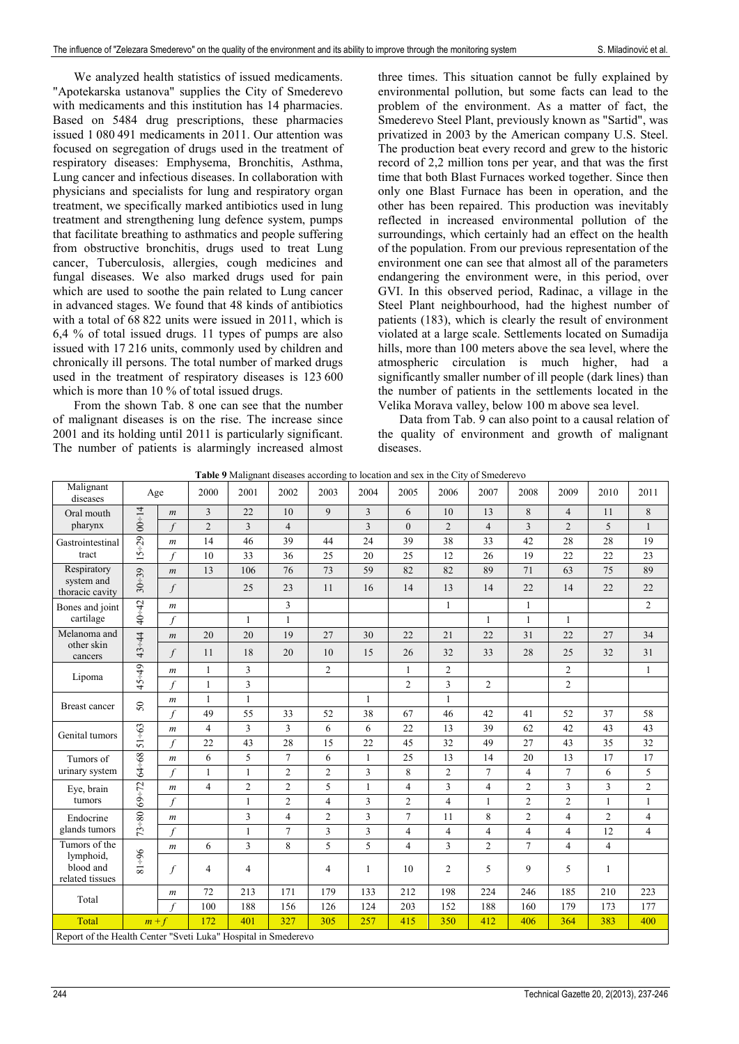We analyzed health statistics of issued medicaments. "Apotekarska ustanova" supplies the City of Smederevo with medicaments and this institution has 14 pharmacies. Based on 5484 drug prescriptions, these pharmacies issued 1 080 491 medicaments in 2011. Our attention was focused on segregation of drugs used in the treatment of respiratory diseases: Emphysema, Bronchitis, Asthma, Lung cancer and infectious diseases. In collaboration with physicians and specialists for lung and respiratory organ treatment, we specifically marked antibiotics used in lung treatment and strengthening lung defence system, pumps that facilitate breathing to asthmatics and people suffering from obstructive bronchitis, drugs used to treat Lung cancer, Tuberculosis, allergies, cough medicines and fungal diseases. We also marked drugs used for pain which are used to soothe the pain related to Lung cancer in advanced stages. We found that 48 kinds of antibiotics with a total of 68.822 units were issued in 2011, which is 6,4 % of total issued drugs. 11 types of pumps are also issued with 17.216 units, commonly used by children and chronically ill persons. The total number of marked drugs used in the treatment of respiratory diseases is 123.600 which is more than 10 % of total issued drugs.

From the shown Tab. 8 one can see that the number of malignant diseases is on the rise. The increase since 2001 and its holding until 2011 is particularly significant. The number of patients is alarmingly increased almost

three times. This situation cannot be fully explained by environmental pollution, but some facts can lead to the problem of the environment. As a matter of fact, the Smederevo Steel Plant, previously known as "Sartid", was privatized in 2003 by the American company U.S. Steel. The production beat every record and grew to the historic record of 2,2 million tons per year, and that was the first time that both Blast Furnaces worked together. Since then only one Blast Furnace has been in operation, and the other has been repaired. This production was inevitably reflected in increased environmental pollution of the surroundings, which certainly had an effect on the health of the population. From our previous representation of the environment one can see that almost all of the parameters endangering the environment were, in this period, over GVI. In this observed period, Radinac, a village in the Steel Plant neighbourhood, had the highest number of patients (183), which is clearly the result of environment violated at a large scale. Settlements located on Sumadija hills, more than 100 meters above the sea level, where the atmospheric circulation is much higher, had a significantly smaller number of ill people (dark lines) than the number of patients in the settlements located in the Velika Morava valley, below 100 m above sea level.

Data from Tab. 9 can also point to a causal relation of the quality of environment and growth of malignant diseases.

|  |  |  | <b>Table 9</b> Malignant diseases according to location and sex in the City of Smederevo |
|--|--|--|------------------------------------------------------------------------------------------|
|  |  |  |                                                                                          |

| Malignant<br>diseases                                          | Age             |                             | 2000           | 2001                    | 2002           | 2003           | 2004         | 2005           | 2006           | 2007           | 2008           | 2009           | 2010           | 2011           |
|----------------------------------------------------------------|-----------------|-----------------------------|----------------|-------------------------|----------------|----------------|--------------|----------------|----------------|----------------|----------------|----------------|----------------|----------------|
| Oral mouth<br>pharynx                                          | $00 - 14$       | $\boldsymbol{m}$            | $\overline{3}$ | 22                      | 10             | $\mathbf{Q}$   | 3            | 6              | 10             | 13             | 8              | $\overline{4}$ | 11             | 8              |
|                                                                |                 | $\mathcal{L}$               | $\overline{2}$ | 3                       | $\overline{4}$ |                | 3            | $\theta$       | $\overline{2}$ | $\overline{4}$ | 3              | $\overline{2}$ | 5              | $\mathbf{1}$   |
| Gastrointestinal<br>tract                                      | $15 - 29$       | $\boldsymbol{m}$            | 14             | 46                      | 39             | 44             | 24           | 39             | 38             | 33             | 42             | 28             | 28             | 19             |
|                                                                |                 | f                           | 10             | 33                      | 36             | 25             | 20           | 25             | 12             | 26             | 19             | 22             | 22             | 23             |
| Respiratory<br>system and<br>thoracic cavity                   | $30 - 39$       | $\boldsymbol{m}$            | 13             | 106                     | 76             | 73             | 59           | 82             | 82             | 89             | 71             | 63             | 75             | 89             |
|                                                                |                 | $\int$                      |                | 25                      | 23             | 11             | 16           | 14             | 13             | 14             | 22             | 14             | 22             | 22             |
| Bones and joint<br>cartilage                                   | $40 - 42$       | $\boldsymbol{m}$            |                |                         | 3              |                |              |                | 1              |                | 1              |                |                | $\overline{c}$ |
|                                                                |                 | $\mathcal{L}$               |                | $\mathbf{1}$            | $\mathbf{1}$   |                |              |                |                | 1              | $\mathbf{1}$   | $\mathbf{1}$   |                |                |
| Melanoma and<br>other skin<br>cancers                          | $43 - 44$       | $\boldsymbol{m}$            | 20             | 20                      | 19             | 27             | 30           | 22             | 21             | 22             | 31             | 22             | 27             | 34             |
|                                                                |                 | $\int$                      | 11             | 18                      | 20             | 10             | 15           | 26             | 32             | 33             | 28             | 25             | 32             | 31             |
| Lipoma                                                         | $45 - 49$       | $\boldsymbol{m}$            | $\mathbf{1}$   | $\overline{\mathbf{3}}$ |                | $\overline{c}$ |              | $\mathbf{1}$   | $\overline{c}$ |                |                | $\overline{2}$ |                | $\mathbf{1}$   |
|                                                                |                 | $\mathcal{L}_{\mathcal{L}}$ | 1              | 3                       |                |                |              | $\overline{2}$ | 3              | $\overline{c}$ |                | $\sqrt{2}$     |                |                |
| <b>Breast cancer</b><br>Genital tumors                         | 50<br>$51 - 63$ | $\boldsymbol{m}$            | 1              | 1                       |                |                | 1            |                | 1              |                |                |                |                |                |
|                                                                |                 | $\mathcal{L}_{\mathcal{L}}$ | 49             | 55                      | 33             | 52             | 38           | 67             | 46             | 42             | 41             | 52             | 37             | 58             |
|                                                                |                 | $\boldsymbol{m}$            | $\overline{4}$ | 3                       | 3              | 6              | 6            | 22             | 13             | 39             | 62             | 42             | 43             | 43             |
|                                                                |                 | f                           | 22             | 43                      | 28             | 15             | 22           | 45             | 32             | 49             | 27             | 43             | 35             | 32             |
| Tumors of<br>urinary system                                    | 64+68           | $\mathfrak{m}$              | 6              | 5                       | $\overline{7}$ | 6              | $\mathbf{1}$ | 25             | 13             | 14             | 20             | 13             | 17             | 17             |
|                                                                |                 | f                           | 1              | $\mathbf{1}$            | $\overline{2}$ | $\overline{2}$ | 3            | 8              | $\overline{c}$ | $\overline{7}$ | $\overline{4}$ | $\overline{7}$ | 6              | 5              |
| Eye, brain<br>tumors                                           | $69 - 72$       | $\boldsymbol{m}$            | $\overline{4}$ | $\overline{2}$          | $\overline{2}$ | 5              | $\mathbf{1}$ | $\overline{4}$ | 3              | $\overline{4}$ | $\overline{2}$ | 3              | 3              | $\overline{c}$ |
|                                                                |                 | $\int$                      |                | $\mathbf{1}$            | $\overline{2}$ | $\overline{4}$ | 3            | $\overline{2}$ | $\overline{4}$ | $\mathbf{1}$   | $\overline{2}$ | $\overline{2}$ | $\mathbf{1}$   | $\mathbf{1}$   |
| Endocrine<br>glands tumors                                     | $73 - 80$       | $\boldsymbol{m}$            |                | 3                       | $\overline{4}$ | $\overline{2}$ | 3            | $\overline{7}$ | 11             | 8              | $\mathfrak{2}$ | $\overline{4}$ | $\overline{c}$ | $\overline{4}$ |
|                                                                |                 | f                           |                | 1                       | $\overline{7}$ | 3              | 3            | $\overline{4}$ | $\overline{4}$ | $\overline{4}$ | $\overline{4}$ | $\overline{4}$ | 12             | $\overline{4}$ |
| Tumors of the<br>lymphoid,<br>blood and<br>related tissues     | $96 - 18$       | $\boldsymbol{m}$            | 6              | 3                       | 8              | 5              | 5            | $\overline{4}$ | $\overline{3}$ | $\overline{2}$ | $\overline{7}$ | $\overline{4}$ | $\overline{4}$ |                |
|                                                                |                 | f                           | 4              | 4                       |                | $\overline{4}$ | 1            | 10             | $\overline{2}$ | 5              | 9              | 5              | $\mathbf{1}$   |                |
| Total                                                          |                 | $\boldsymbol{m}$            | 72             | 213                     | 171            | 179            | 133          | 212            | 198            | 224            | 246            | 185            | 210            | 223            |
|                                                                |                 | f                           | 100            | 188                     | 156            | 126            | 124          | 203            | 152            | 188            | 160            | 179            | 173            | 177            |
| Total                                                          | $m + f$         |                             | 172            | 401                     | 327            | 305            | 257          | 415            | 350            | 412            | 406            | 364            | 383            | 400            |
| Report of the Health Center "Sveti Luka" Hospital in Smederevo |                 |                             |                |                         |                |                |              |                |                |                |                |                |                |                |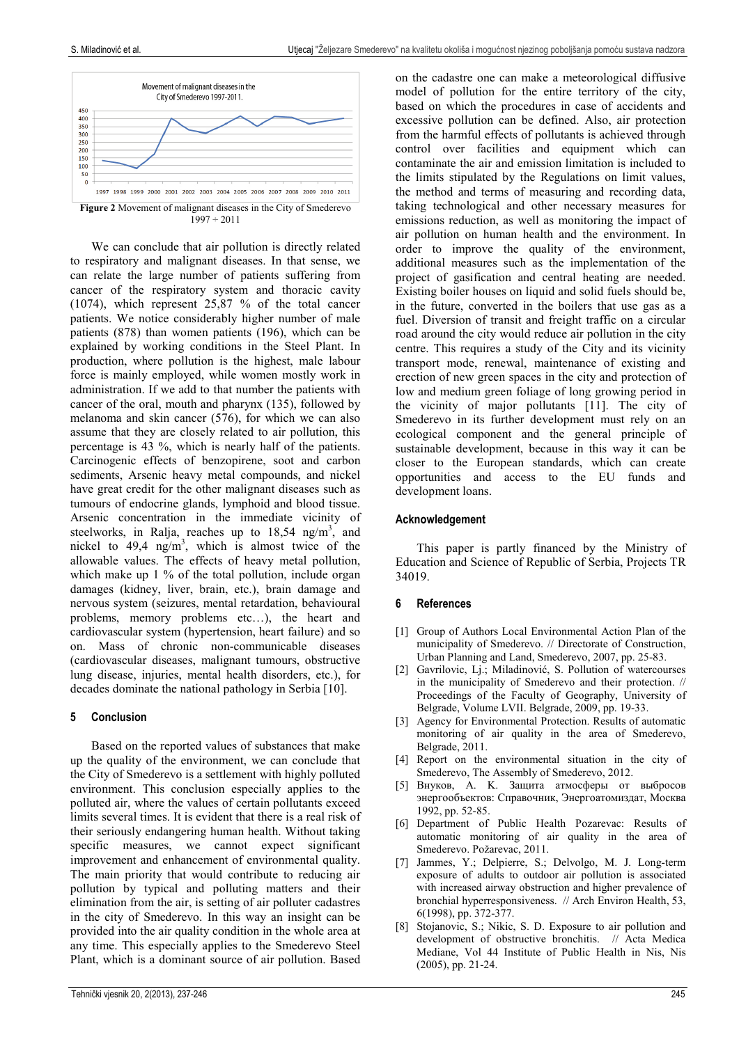

 $1997 \div 2011$ 

We can conclude that air pollution is directly related to respiratory and malignant diseases. In that sense, we can relate the large number of patients suffering from cancer of the respiratory system and thoracic cavity (1074), which represent 25,87 % of the total cancer patients. We notice considerably higher number of male patients (878) than women patients (196), which can be explained by working conditions in the Steel Plant. In production, where pollution is the highest, male labour force is mainly employed, while women mostly work in administration. If we add to that number the patients with cancer of the oral, mouth and pharynx (135), followed by melanoma and skin cancer (576), for which we can also assume that they are closely related to air pollution, this percentage is 43 %, which is nearly half of the patients. Carcinogenic effects of benzopirene, soot and carbon sediments, Arsenic heavy metal compounds, and nickel have great credit for the other malignant diseases such as tumours of endocrine glands, lymphoid and blood tissue. Arsenic concentration in the immediate vicinity of steelworks, in Ralja, reaches up to  $18,54$  ng/m<sup>3</sup>, and nickel to  $49,4$  ng/m<sup>3</sup>, which is almost twice of the allowable values. The effects of heavy metal pollution, which make up 1 % of the total pollution, include organ damages (kidney, liver, brain, etc.), brain damage and nervous system (seizures, mental retardation, behavioural problems, memory problems etc…), the heart and cardiovascular system (hypertension, heart failure) and so on. Mass of chronic non-communicable diseases (cardiovascular diseases, malignant tumours, obstructive lung disease, injuries, mental health disorders, etc.), for decades dominate the national pathology in Serbia [10].

# **5 Conclusion**

Based on the reported values of substances that make up the quality of the environment, we can conclude that the City of Smederevo is a settlement with highly polluted environment. This conclusion especially applies to the polluted air, where the values of certain pollutants exceed limits several times. It is evident that there is a real risk of their seriously endangering human health. Without taking specific measures, we cannot expect significant improvement and enhancement of environmental quality. The main priority that would contribute to reducing air pollution by typical and polluting matters and their elimination from the air, is setting of air polluter cadastres in the city of Smederevo. In this way an insight can be provided into the air quality condition in the whole area at any time. This especially applies to the Smederevo Steel Plant, which is a dominant source of air pollution. Based

on the cadastre one can make a meteorological diffusive model of pollution for the entire territory of the city, based on which the procedures in case of accidents and excessive pollution can be defined. Also, air protection from the harmful effects of pollutants is achieved through control over facilities and equipment which can contaminate the air and emission limitation is included to the limits stipulated by the Regulations on limit values, the method and terms of measuring and recording data, taking technological and other necessary measures for emissions reduction, as well as monitoring the impact of air pollution on human health and the environment. In order to improve the quality of the environment, additional measures such as the implementation of the project of gasification and central heating are needed. Existing boiler houses on liquid and solid fuels should be, in the future, converted in the boilers that use gas as a fuel. Diversion of transit and freight traffic on a circular road around the city would reduce air pollution in the city centre. This requires a study of the City and its vicinity transport mode, renewal, maintenance of existing and erection of new green spaces in the city and protection of low and medium green foliage of long growing period in the vicinity of major pollutants [11]. The city of Smederevo in its further development must rely on an ecological component and the general principle of sustainable development, because in this way it can be closer to the European standards, which can create opportunities and access to the EU funds and development loans.

# **Acknowledgement**

This paper is partly financed by the Ministry of Education and Science of Republic of Serbia, Projects TR 34019.

# **6 References**

- [1] Group of Authors Local Environmental Action Plan of the municipality of Smederevo. // Directorate of Construction, Urban Planning and Land, Smederevo, 2007, pp. 25-83.
- [2] Gavrilovic, Lj.; Miladinović, S. Pollution of watercourses in the municipality of Smederevo and their protection. // Proceedings of the Faculty of Geography, University of Belgrade, Volume LVII. Belgrade, 2009, pp. 19-33.
- [3] Agency for Environmental Protection. Results of automatic monitoring of air quality in the area of Smederevo, Belgrade, 2011.
- [4] Report on the environmental situation in the city of Smederevo, The Assembly of Smederevo, 2012.
- [5] Внуков, A. K. Защита атмосферы от выбросов энергообъектов: Справочник, Энергоатомиздат, Москва 1992, pp. 52-85.
- [6] Department of Public Health Pozarevac: Results of automatic monitoring of air quality in the area of Smederevo. Požarevac, 2011.
- Jammes, Y.; Delpierre, S.; Delvolgo, M. J. Long-term exposure of adults to outdoor air pollution is associated with increased airway obstruction and higher prevalence of bronchial hyperresponsiveness. // Arch Environ Health, 53, 6(1998), pp. 372-377.
- [8] Stojanovic, S.; Nikic, S. D. Exposure to air pollution and development of obstructive bronchitis. // Acta Medica Mediane, Vol 44 Institute of Public Health in Nis, Nis (2005), pp. 21-24.